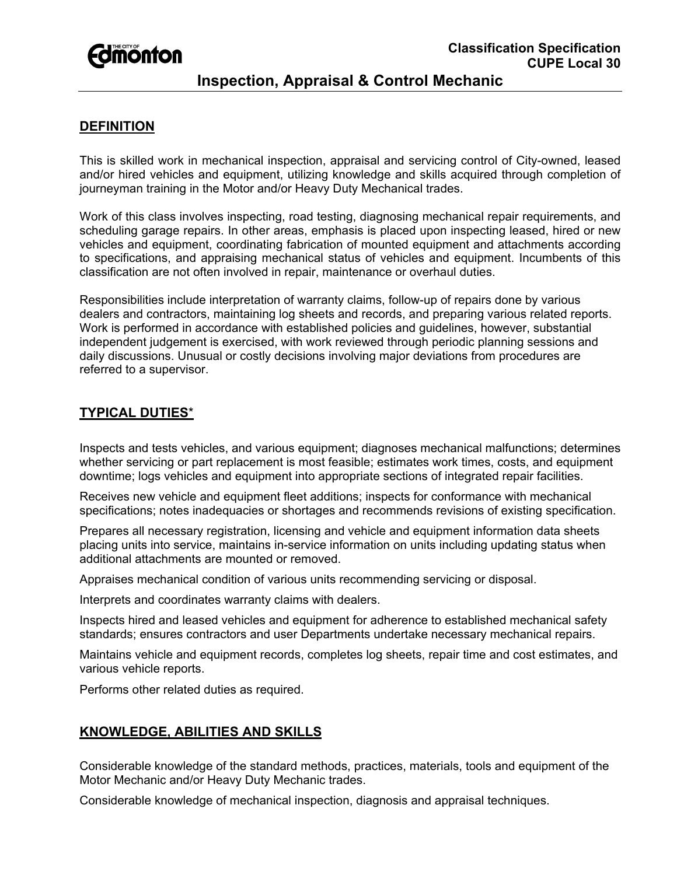# **Fomonton**

## **Inspection, Appraisal & Control Mechanic**

### **DEFINITION**

This is skilled work in mechanical inspection, appraisal and servicing control of City-owned, leased and/or hired vehicles and equipment, utilizing knowledge and skills acquired through completion of journeyman training in the Motor and/or Heavy Duty Mechanical trades.

Work of this class involves inspecting, road testing, diagnosing mechanical repair requirements, and scheduling garage repairs. In other areas, emphasis is placed upon inspecting leased, hired or new vehicles and equipment, coordinating fabrication of mounted equipment and attachments according to specifications, and appraising mechanical status of vehicles and equipment. Incumbents of this classification are not often involved in repair, maintenance or overhaul duties.

Responsibilities include interpretation of warranty claims, follow-up of repairs done by various dealers and contractors, maintaining log sheets and records, and preparing various related reports. Work is performed in accordance with established policies and guidelines, however, substantial independent judgement is exercised, with work reviewed through periodic planning sessions and daily discussions. Unusual or costly decisions involving major deviations from procedures are referred to a supervisor.

#### **TYPICAL DUTIES**\*

Inspects and tests vehicles, and various equipment; diagnoses mechanical malfunctions; determines whether servicing or part replacement is most feasible; estimates work times, costs, and equipment downtime; logs vehicles and equipment into appropriate sections of integrated repair facilities.

Receives new vehicle and equipment fleet additions; inspects for conformance with mechanical specifications; notes inadequacies or shortages and recommends revisions of existing specification.

Prepares all necessary registration, licensing and vehicle and equipment information data sheets placing units into service, maintains in-service information on units including updating status when additional attachments are mounted or removed.

Appraises mechanical condition of various units recommending servicing or disposal.

Interprets and coordinates warranty claims with dealers.

Inspects hired and leased vehicles and equipment for adherence to established mechanical safety standards; ensures contractors and user Departments undertake necessary mechanical repairs.

Maintains vehicle and equipment records, completes log sheets, repair time and cost estimates, and various vehicle reports.

Performs other related duties as required.

#### **KNOWLEDGE, ABILITIES AND SKILLS**

Considerable knowledge of the standard methods, practices, materials, tools and equipment of the Motor Mechanic and/or Heavy Duty Mechanic trades.

Considerable knowledge of mechanical inspection, diagnosis and appraisal techniques.